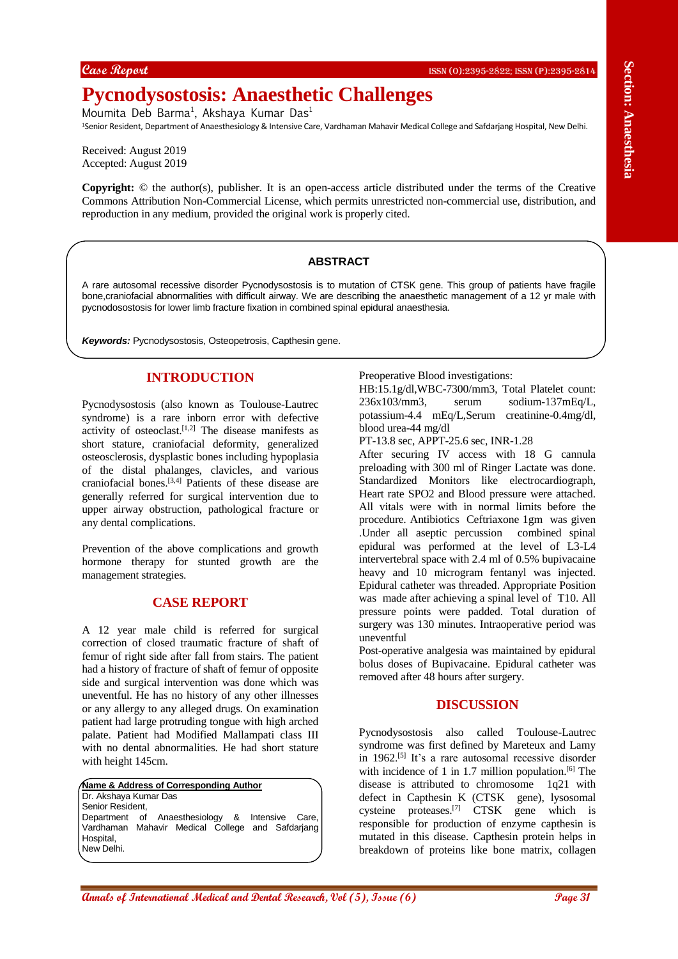# **Pycnodysostosis: Anaesthetic Challenges**

Moumita Deb Barma<sup>1</sup>, Akshaya Kumar Das<sup>1</sup>

<sup>1</sup>Senior Resident, Department of Anaesthesiology & Intensive Care, Vardhaman Mahavir Medical College and Safdarjang Hospital, New Delhi.

Received: August 2019 Accepted: August 2019

**Copyright:** © the author(s), publisher. It is an open-access article distributed under the terms of the Creative Commons Attribution Non-Commercial License, which permits unrestricted non-commercial use, distribution, and reproduction in any medium, provided the original work is properly cited.

### **ABSTRACT**

A rare autosomal recessive disorder Pycnodysostosis is to mutation of CTSK gene. This group of patients have fragile bone,craniofacial abnormalities with difficult airway. We are describing the anaesthetic management of a 12 yr male with pycnodosostosis for lower limb fracture fixation in combined spinal epidural anaesthesia.

*Keywords:* Pycnodysostosis, Osteopetrosis, Capthesin gene.

# **INTRODUCTION**

Pycnodysostosis (also known as Toulouse-Lautrec syndrome) is a rare inborn error with defective activity of osteoclast. [1,2] The disease manifests as short stature, craniofacial deformity, generalized osteosclerosis, dysplastic bones including hypoplasia of the distal phalanges, clavicles, and various craniofacial bones. [3,4] Patients of these disease are generally referred for surgical intervention due to upper airway obstruction, pathological fracture or any dental complications.

Prevention of the above complications and growth hormone therapy for stunted growth are the management strategies.

#### **CASE REPORT**

A 12 year male child is referred for surgical correction of closed traumatic fracture of shaft of femur of right side after fall from stairs. The patient had a history of fracture of shaft of femur of opposite side and surgical intervention was done which was uneventful. He has no history of any other illnesses or any allergy to any alleged drugs. On examination patient had large protruding tongue with high arched palate. Patient had Modified Mallampati class III with no dental abnormalities. He had short stature with height 145cm.

**Name & Address of Corresponding Author** Dr. Akshaya Kumar Das Senior Resident, Department of Anaesthesiology & Intensive Care, Vardhaman Mahavir Medical College and Safdarjang Hospital. New Delhi.

Preoperative Blood investigations:

HB:15.1g/dl,WBC-7300/mm3, Total Platelet count: 236x103/mm3, serum sodium-137mEq/L, potassium-4.4 mEq/L,Serum creatinine-0.4mg/dl, blood urea-44 mg/dl

PT-13.8 sec, APPT-25.6 sec, INR-1.28

Control of the section of the section of the section of the section of the section of the section of the section of the section of the section of the section of the section of the section of the section of the section of t After securing IV access with 18 G cannula preloading with 300 ml of Ringer Lactate was done. Standardized Monitors like electrocardiograph, Heart rate SPO2 and Blood pressure were attached. All vitals were with in normal limits before the procedure. Antibiotics Ceftriaxone 1gm was given .Under all aseptic percussion combined spinal epidural was performed at the level of L3-L4 intervertebral space with 2.4 ml of 0.5% bupivacaine heavy and 10 microgram fentanyl was injected. Epidural catheter was threaded. Appropriate Position was made after achieving a spinal level of T10. All pressure points were padded. Total duration of surgery was 130 minutes. Intraoperative period was uneventful

Post-operative analgesia was maintained by epidural bolus doses of Bupivacaine. Epidural catheter was removed after 48 hours after surgery.

#### **DISCUSSION**

Pycnodysostosis also called Toulouse-Lautrec syndrome was first defined by Mareteux and Lamy in 1962. [5] It's a rare autosomal recessive disorder with incidence of 1 in 1.7 million population.<sup>[6]</sup> The disease is attributed to chromosome 1q21 with defect in Capthesin K (CTSK gene), lysosomal cysteine proteases.<sup>[7]</sup> CTSK gene which is responsible for production of enzyme capthesin is mutated in this disease. Capthesin protein helps in breakdown of proteins like bone matrix, collagen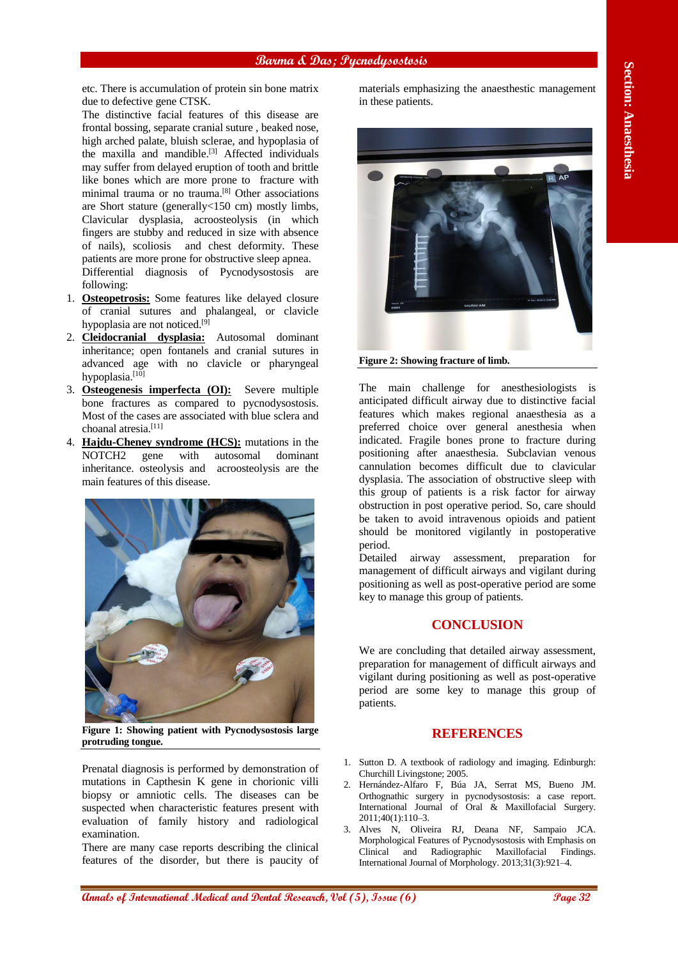etc. There is accumulation of protein sin bone matrix due to defective gene CTSK.

The distinctive facial features of this disease are frontal bossing, separate cranial suture , beaked nose, high arched palate, bluish sclerae, and hypoplasia of the maxilla and mandible.<sup>[3]</sup> Affected individuals may suffer from delayed eruption of tooth and brittle like bones which are more prone to fracture with minimal trauma or no trauma.<sup>[8]</sup> Other associations are Short stature (generally<150 cm) mostly limbs, Clavicular dysplasia, acroosteolysis (in which fingers are stubby and reduced in size with absence of nails), scoliosis and chest deformity. These patients are more prone for obstructive sleep apnea. Differential diagnosis of Pycnodysostosis are following:

- 1. **Osteopetrosis:** Some features like delayed closure of cranial sutures and phalangeal, or clavicle hypoplasia are not noticed.<sup>[9]</sup>
- 2. **Cleidocranial dysplasia:** Autosomal dominant inheritance; open fontanels and cranial sutures in advanced age with no clavicle or pharyngeal hypoplasia.<sup>[10]</sup>
- 3. **Osteogenesis imperfecta (OI):** Severe multiple bone fractures as compared to pycnodysostosis. Most of the cases are associated with blue sclera and choanal atresia.[11]
- 4. **Hajdu-Cheney syndrome (HCS):** mutations in the NOTCH2 gene with autosomal dominant inheritance. osteolysis and acroosteolysis are the main features of this disease.



**Figure 1: Showing patient with Pycnodysostosis large protruding tongue.**

Prenatal diagnosis is performed by demonstration of mutations in Capthesin K gene in chorionic villi biopsy or amniotic cells. The diseases can be suspected when characteristic features present with evaluation of family history and radiological examination.

There are many case reports describing the clinical features of the disorder, but there is paucity of materials emphasizing the anaesthestic management in these patients.



**Figure 2: Showing fracture of limb.**

The main challenge for anesthesiologists is anticipated difficult airway due to distinctive facial features which makes regional anaesthesia as a preferred choice over general anesthesia when indicated. Fragile bones prone to fracture during positioning after anaesthesia. Subclavian venous cannulation becomes difficult due to clavicular dysplasia. The association of obstructive sleep with this group of patients is a risk factor for airway obstruction in post operative period. So, care should be taken to avoid intravenous opioids and patient should be monitored vigilantly in postoperative period.

Detailed airway assessment, preparation for management of difficult airways and vigilant during positioning as well as post-operative period are some key to manage this group of patients.

# **CONCLUSION**

We are concluding that detailed airway assessment, preparation for management of difficult airways and vigilant during positioning as well as post-operative period are some key to manage this group of patients.

# **REFERENCES**

- 1. Sutton D. A textbook of radiology and imaging. Edinburgh: Churchill Livingstone; 2005.
- 2. Hernández-Alfaro F, Búa JA, Serrat MS, Bueno JM. Orthognathic surgery in pycnodysostosis: a case report. International Journal of Oral & Maxillofacial Surgery. 2011;40(1):110–3.
- 3. Alves N, Oliveira RJ, Deana NF, Sampaio JCA. Morphological Features of Pycnodysostosis with Emphasis on Clinical and Radiographic Maxillofacial Findings. International Journal of Morphology. 2013;31(3):921–4.